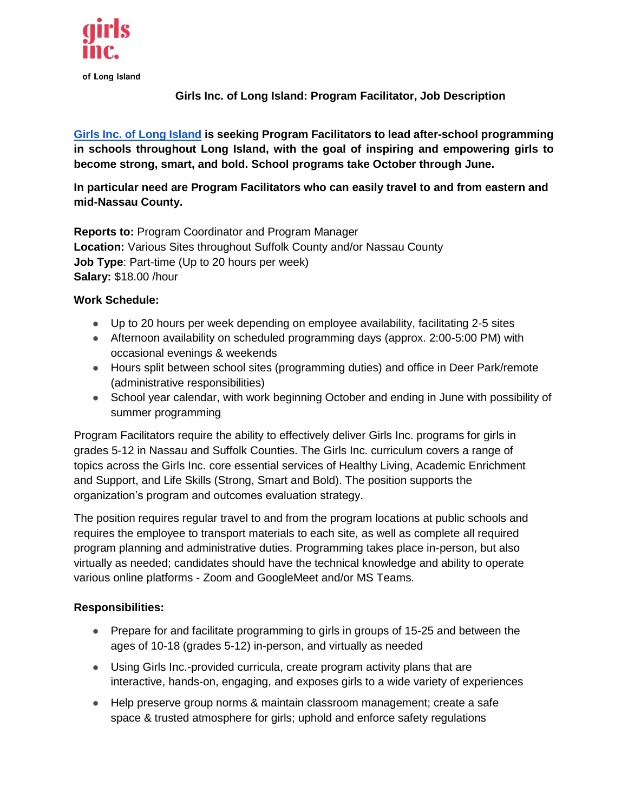

**Girls Inc. of Long Island: Program Facilitator, Job Description**

**[Girls Inc. of Long Island](http://www.girlsincli.org/) is seeking Program Facilitators to lead after-school programming in schools throughout Long Island, with the goal of inspiring and empowering girls to become strong, smart, and bold. School programs take October through June.**

**In particular need are Program Facilitators who can easily travel to and from eastern and mid-Nassau County.**

**Reports to:** Program Coordinator and Program Manager **Location:** Various Sites throughout Suffolk County and/or Nassau County **Job Type**: Part-time (Up to 20 hours per week) **Salary:** \$18.00 /hour

### **Work Schedule:**

- Up to 20 hours per week depending on employee availability, facilitating 2-5 sites
- Afternoon availability on scheduled programming days (approx. 2:00-5:00 PM) with occasional evenings & weekends
- Hours split between school sites (programming duties) and office in Deer Park/remote (administrative responsibilities)
- School year calendar, with work beginning October and ending in June with possibility of summer programming

Program Facilitators require the ability to effectively deliver Girls Inc. programs for girls in grades 5-12 in Nassau and Suffolk Counties. The Girls Inc. curriculum covers a range of topics across the Girls Inc. core essential services of Healthy Living, Academic Enrichment and Support, and Life Skills (Strong, Smart and Bold). The position supports the organization's program and outcomes evaluation strategy.

The position requires regular travel to and from the program locations at public schools and requires the employee to transport materials to each site, as well as complete all required program planning and administrative duties. Programming takes place in-person, but also virtually as needed; candidates should have the technical knowledge and ability to operate various online platforms - Zoom and GoogleMeet and/or MS Teams.

### **Responsibilities:**

- Prepare for and facilitate programming to girls in groups of 15-25 and between the ages of 10-18 (grades 5-12) in-person, and virtually as needed
- Using Girls Inc.-provided curricula, create program activity plans that are interactive, hands-on, engaging, and exposes girls to a wide variety of experiences
- Help preserve group norms & maintain classroom management; create a safe space & trusted atmosphere for girls; uphold and enforce safety regulations